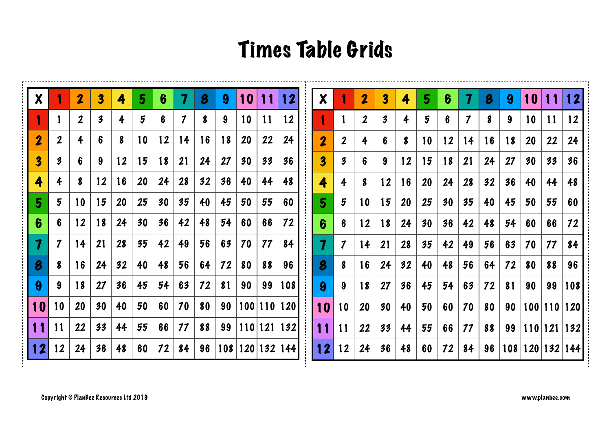## Times Table Grids

| $\boldsymbol{X}$        |                            | 2            | $\overline{\mathbf{3}}$ | 4  | 5  | 6  | 7  | 8  | 9   | 10        | 11      | 12  | $\boldsymbol{\mathsf{X}}$ |                            | $\overline{\mathbf{2}}$ | 3  | 4  | 5  | 6  | 7            | 8  | 9   | 10 |             | 12          |
|-------------------------|----------------------------|--------------|-------------------------|----|----|----|----|----|-----|-----------|---------|-----|---------------------------|----------------------------|-------------------------|----|----|----|----|--------------|----|-----|----|-------------|-------------|
| 1                       |                            | $\mathbf{2}$ | $\boldsymbol{\beta}$    | 4  | 5  | 6  | 7  | 8  | 9   | 10        | 11      | 12  |                           |                            | $\boldsymbol{2}$        | 3  | 4  | 5  | 6  | $\mathcal I$ | 8  | 9   | 10 | 11          | 12          |
| $\overline{\mathbf{2}}$ | $\mathbf 2$                | 4            | 6                       | 8  | 10 | 12 | 14 | 16 | 18  | <b>20</b> | 22      | 24  | $\overline{\mathbf{2}}$   | $\boldsymbol{2}$           | 4                       | 6  | 8  | 10 | 12 | 14           | 16 | 18  | 20 | 22          | 24          |
| $\overline{\mathbf{3}}$ | 3                          | 6            | 9                       | 12 | 15 | 18 | 21 | 24 | 27  | 30        | 33      | 36  | 3                         | $\boldsymbol{\beta}$       | 6                       | 9  | 12 | 15 | 18 | 21           | 24 | 27  | 30 | 33          | 36          |
| 4                       | 4                          | 8            | 12                      | 16 | 20 | 24 | 28 | 32 | 36  | 40        | 44      | 48  | 4                         | 4                          | 8                       | 12 | 16 | 20 | 24 | 28           | 32 | 36  | 40 | 44          | 48          |
| 5 <sup>5</sup>          | 5                          | 10           | 15                      | 20 | 25 | 30 | 35 | 40 | 45  | 50        | 55      | 60  | 5                         | 5                          | 10                      | 15 | 20 | 25 | 30 | 35           | 40 | 45  | 50 | 55          | 60          |
| 6                       | 6                          | 12           | 18                      | 24 | 30 | 36 | 42 | 48 | 54  | 60        | 66      | 72  | 6                         | 6                          | 12                      | 18 | 24 | 30 | 36 | 42           | 48 | 54  | 60 | 66          | 72          |
| $\boldsymbol{\eta}$     | $\boldsymbol{\mathcal{I}}$ | 14           | 21                      | 28 | 35 | 42 | 49 | 56 | 63  | 70        | 77      | 84  | 7                         | $\boldsymbol{\mathcal{I}}$ | 14                      | 21 | 28 | 35 | 42 | 49           | 56 | 63  | 70 | 11          | 84          |
| 8                       | 8                          | 16           | 24                      | 32 | 40 | 48 | 56 | 64 | 72  | 80        | 88      | 96  | 8                         | 8                          | 16                      | 24 | 32 | 40 | 48 | 56           | 64 | 72  | 80 | 88          | 96          |
| 9                       | 9                          | 18           | 27                      | 36 | 45 | 54 | 63 | 72 | 81  | 90        | 99      | 108 | 9                         | 9                          | 18                      | 27 | 36 | 45 | 54 | 63           | 72 | 81  | 90 | 99          | 108         |
| 10                      | 10                         | 20           | 30                      | 40 | 50 | 60 | 70 | 80 | 90  |           | 100 110 | 120 | 10                        | 10                         | 20                      | 30 | 40 | 50 | 60 | 70           | 80 | 90  |    | 100 110 120 |             |
| 11                      | 11                         | 22           | 33                      | 44 | 55 | 66 | 77 | 88 | 99  |           | 110 121 | 132 | 11                        | 11                         | 22                      | 33 | 44 | 55 | 66 | 77           | 88 | 99  |    | 110 121 132 |             |
| 12                      | 12                         | 24           | 36                      | 48 | 60 | 72 | 84 | 96 | 108 |           | 120 132 | 144 | 12                        | 12                         | 24                      | 36 | 48 | 60 | 72 | 84           | 96 | 108 |    |             | 120 132 144 |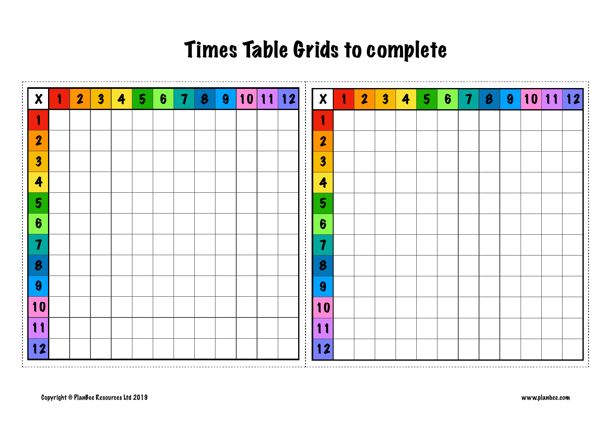## Times Table Grids to complete

|                         | 1 | $\overline{\mathbf{2}}$ | $\overline{\mathbf{3}}$ | 4 | $5\phantom{.0}$ | $\boldsymbol{6}$ | $\boldsymbol{7}$ | $\boldsymbol{\beta}$ | $\boldsymbol{9}$ | 10 11 12 |  |
|-------------------------|---|-------------------------|-------------------------|---|-----------------|------------------|------------------|----------------------|------------------|----------|--|
| $\mathbf{1}$            |   |                         |                         |   |                 |                  |                  |                      |                  |          |  |
| $\overline{\mathbf{2}}$ |   |                         |                         |   |                 |                  |                  |                      |                  |          |  |
| $\overline{\mathbf{3}}$ |   |                         |                         |   |                 |                  |                  |                      |                  |          |  |
| 4                       |   |                         |                         |   |                 |                  |                  |                      |                  |          |  |
| 5                       |   |                         |                         |   |                 |                  |                  |                      |                  |          |  |
| $\boldsymbol{6}$        |   |                         |                         |   |                 |                  |                  |                      |                  |          |  |
| $\boldsymbol{7}$        |   |                         |                         |   |                 |                  |                  |                      |                  |          |  |
| 8                       |   |                         |                         |   |                 |                  |                  |                      |                  |          |  |
| 9                       |   |                         |                         |   |                 |                  |                  |                      |                  |          |  |
| 10                      |   |                         |                         |   |                 |                  |                  |                      |                  |          |  |
| 11                      |   |                         |                         |   |                 |                  |                  |                      |                  |          |  |
| 12                      |   |                         |                         |   |                 |                  |                  |                      |                  |          |  |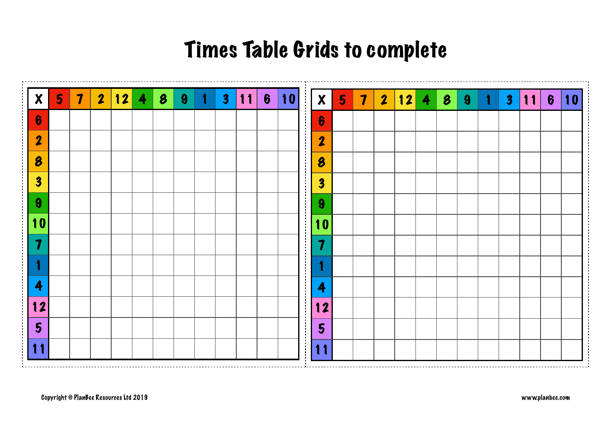## Times Table Grids to complete

|                         | 5 <sub>1</sub> | $\overline{\mathbf{7}}$ | $\overline{\mathbf{2}}$ | 12 | 4 | $\boldsymbol{\beta}$ | $\boldsymbol{9}$ | 1 | $\overline{\mathbf{3}}$ | 11 | $\boldsymbol{6}$ | 10 |
|-------------------------|----------------|-------------------------|-------------------------|----|---|----------------------|------------------|---|-------------------------|----|------------------|----|
| $\boldsymbol{6}$        |                |                         |                         |    |   |                      |                  |   |                         |    |                  |    |
| $\overline{\mathbf{2}}$ |                |                         |                         |    |   |                      |                  |   |                         |    |                  |    |
| $\boldsymbol{\beta}$    |                |                         |                         |    |   |                      |                  |   |                         |    |                  |    |
| $\overline{\mathbf{3}}$ |                |                         |                         |    |   |                      |                  |   |                         |    |                  |    |
| $\boldsymbol{9}$        |                |                         |                         |    |   |                      |                  |   |                         |    |                  |    |
| 10                      |                |                         |                         |    |   |                      |                  |   |                         |    |                  |    |
| $\overline{\mathbf{7}}$ |                |                         |                         |    |   |                      |                  |   |                         |    |                  |    |
|                         |                |                         |                         |    |   |                      |                  |   |                         |    |                  |    |
| 4                       |                |                         |                         |    |   |                      |                  |   |                         |    |                  |    |
| 12                      |                |                         |                         |    |   |                      |                  |   |                         |    |                  |    |
| $5\overline{)}$         |                |                         |                         |    |   |                      |                  |   |                         |    |                  |    |
| 11                      |                |                         |                         |    |   |                      |                  |   |                         |    |                  |    |